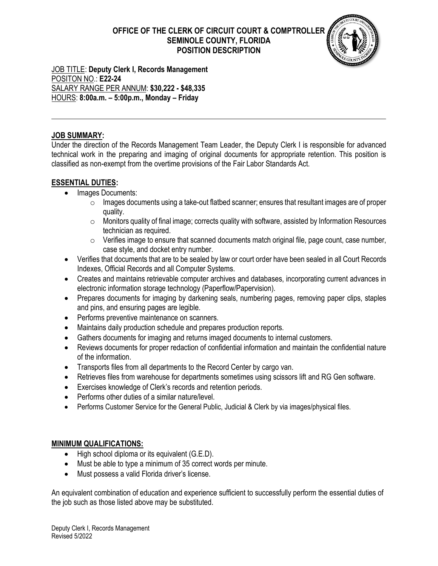# **OFFICE OF THE CLERK OF CIRCUIT COURT & COMPTROLLER SEMINOLE COUNTY, FLORIDA POSITION DESCRIPTION**



JOB TITLE: **Deputy Clerk I, Records Management** POSITON NO.: **E22-24** SALARY RANGE PER ANNUM: **\$30,222 - \$48,335** HOURS: **8:00a.m. – 5:00p.m., Monday – Friday** 

### **JOB SUMMARY:**

Under the direction of the Records Management Team Leader, the Deputy Clerk I is responsible for advanced technical work in the preparing and imaging of original documents for appropriate retention. This position is classified as non-exempt from the overtime provisions of the Fair Labor Standards Act.

## **ESSENTIAL DUTIES:**

- Images Documents:
	- $\circ$  Images documents using a take-out flatbed scanner; ensures that resultant images are of proper quality.
	- o Monitors quality of final image; corrects quality with software, assisted by Information Resources technician as required.
	- $\circ$  Verifies image to ensure that scanned documents match original file, page count, case number, case style, and docket entry number.
- Verifies that documents that are to be sealed by law or court order have been sealed in all Court Records Indexes, Official Records and all Computer Systems.
- Creates and maintains retrievable computer archives and databases, incorporating current advances in electronic information storage technology (Paperflow/Papervision).
- Prepares documents for imaging by darkening seals, numbering pages, removing paper clips, staples and pins, and ensuring pages are legible.
- Performs preventive maintenance on scanners.
- Maintains daily production schedule and prepares production reports.
- Gathers documents for imaging and returns imaged documents to internal customers.
- Reviews documents for proper redaction of confidential information and maintain the confidential nature of the information.
- Transports files from all departments to the Record Center by cargo van.
- Retrieves files from warehouse for departments sometimes using scissors lift and RG Gen software.
- Exercises knowledge of Clerk's records and retention periods.
- Performs other duties of a similar nature/level.
- Performs Customer Service for the General Public, Judicial & Clerk by via images/physical files.

#### **MINIMUM QUALIFICATIONS:**

- High school diploma or its equivalent (G.E.D).
- Must be able to type a minimum of 35 correct words per minute.
- Must possess a valid Florida driver's license.

An equivalent combination of education and experience sufficient to successfully perform the essential duties of the job such as those listed above may be substituted.